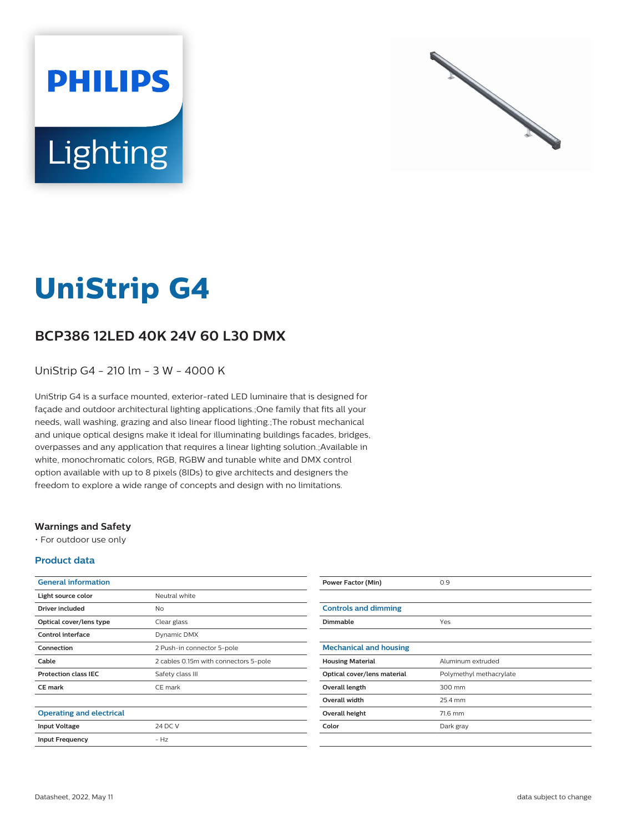



# **UniStrip G4**

## **BCP386 12LED 40K 24V 60 L30 DMX**

UniStrip G4 - 210 lm - 3 W - 4000 K

UniStrip G4 is a surface mounted, exterior-rated LED luminaire that is designed for façade and outdoor architectural lighting applications.;One family that fits all your needs, wall washing, grazing and also linear flood lighting.;The robust mechanical and unique optical designs make it ideal for illuminating buildings facades, bridges, overpasses and any application that requires a linear lighting solution.;Available in white, monochromatic colors, RGB, RGBW and tunable white and DMX control option available with up to 8 pixels (8IDs) to give architects and designers the freedom to explore a wide range of concepts and design with no limitations.

### **Warnings and Safety**

• For outdoor use only

### **Product data**

| Neutral white<br>Light source color<br>Driver included<br>No<br>Optical cover/lens type<br>Clear glass<br>Control interface<br>Dynamic DMX<br>Connection<br>2 Push-in connector 5-pole<br>Cable<br>2 cables 0.15m with connectors 5-pole | <b>General information</b>  |                  |
|------------------------------------------------------------------------------------------------------------------------------------------------------------------------------------------------------------------------------------------|-----------------------------|------------------|
|                                                                                                                                                                                                                                          |                             |                  |
|                                                                                                                                                                                                                                          |                             |                  |
|                                                                                                                                                                                                                                          |                             |                  |
|                                                                                                                                                                                                                                          |                             |                  |
|                                                                                                                                                                                                                                          |                             |                  |
|                                                                                                                                                                                                                                          |                             |                  |
|                                                                                                                                                                                                                                          | <b>Protection class IEC</b> | Safety class III |
| <b>CE</b> mark<br>CE mark                                                                                                                                                                                                                |                             |                  |
|                                                                                                                                                                                                                                          |                             |                  |
| <b>Operating and electrical</b>                                                                                                                                                                                                          |                             |                  |
| 24 DC V<br><b>Input Voltage</b>                                                                                                                                                                                                          |                             |                  |
| $-Hz$<br><b>Input Frequency</b>                                                                                                                                                                                                          |                             |                  |

| <b>Power Factor (Min)</b>     | 0.9                     |
|-------------------------------|-------------------------|
|                               |                         |
| <b>Controls and dimming</b>   |                         |
| <b>Dimmable</b>               | Yes                     |
|                               |                         |
| <b>Mechanical and housing</b> |                         |
| <b>Housing Material</b>       | Aluminum extruded       |
| Optical cover/lens material   | Polymethyl methacrylate |
| Overall length                | 300 mm                  |
| <b>Overall width</b>          | 25.4 mm                 |
| Overall height                | 71.6 mm                 |
| Color                         | Dark gray               |
|                               |                         |